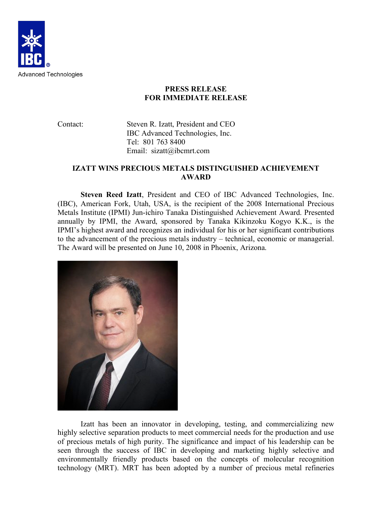

## **PRESS RELEASE FOR IMMEDIATE RELEASE**

Contact: Steven R. Izatt, President and CEO IBC Advanced Technologies, Inc. Tel: 801 763 8400 Email: sizatt@ibcmrt.com

## **IZATT WINS PRECIOUS METALS DISTINGUISHED ACHIEVEMENT AWARD**

**Steven Reed Izatt**, President and CEO of IBC Advanced Technologies, Inc. (IBC), American Fork, Utah, USA, is the recipient of the 2008 International Precious Metals Institute (IPMI) Jun-ichiro Tanaka Distinguished Achievement Award. Presented annually by IPMI, the Award, sponsored by Tanaka Kikinzoku Kogyo K.K., is the IPMI's highest award and recognizes an individual for his or her significant contributions to the advancement of the precious metals industry – technical, economic or managerial. The Award will be presented on June 10, 2008 in Phoenix, Arizona.



Izatt has been an innovator in developing, testing, and commercializing new highly selective separation products to meet commercial needs for the production and use of precious metals of high purity. The significance and impact of his leadership can be seen through the success of IBC in developing and marketing highly selective and environmentally friendly products based on the concepts of molecular recognition technology (MRT). MRT has been adopted by a number of precious metal refineries